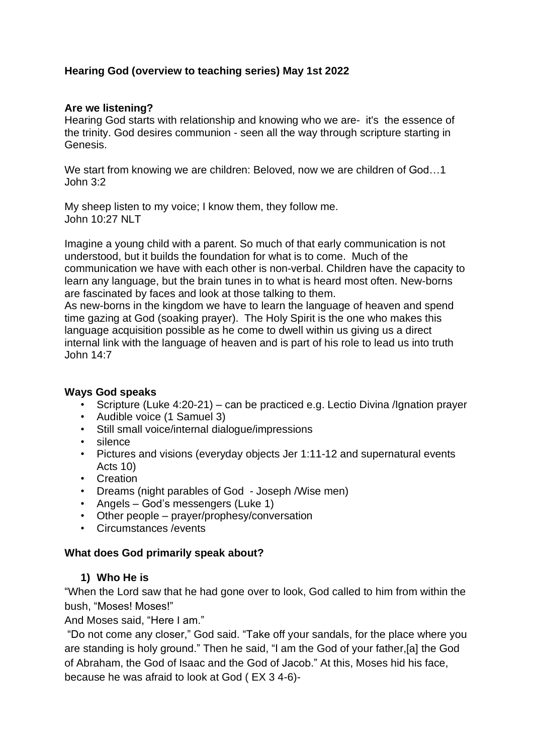# **Hearing God (overview to teaching series) May 1st 2022**

## **Are we listening?**

Hearing God starts with relationship and knowing who we are- it's the essence of the trinity. God desires communion - seen all the way through scripture starting in Genesis.

We start from knowing we are children: Beloved, now we are children of God…1 John 3:2

My sheep listen to my voice; I know them, they follow me. John 10:27 NLT

Imagine a young child with a parent. So much of that early communication is not understood, but it builds the foundation for what is to come. Much of the communication we have with each other is non-verbal. Children have the capacity to learn any language, but the brain tunes in to what is heard most often. New-borns are fascinated by faces and look at those talking to them.

As new-borns in the kingdom we have to learn the language of heaven and spend time gazing at God (soaking prayer). The Holy Spirit is the one who makes this language acquisition possible as he come to dwell within us giving us a direct internal link with the language of heaven and is part of his role to lead us into truth John 14:7

#### **Ways God speaks**

- Scripture (Luke 4:20-21) can be practiced e.g. Lectio Divina /Ignation prayer
- Audible voice (1 Samuel 3)
- Still small voice/internal dialogue/impressions
- silence
- Pictures and visions (everyday objects Jer 1:11-12 and supernatural events Acts 10)
- Creation
- Dreams (night parables of God Joseph /Wise men)
- Angels God's messengers (Luke 1)
- Other people prayer/prophesy/conversation
- Circumstances /events

#### **What does God primarily speak about?**

#### **1) Who He is**

"When the Lord saw that he had gone over to look, God called to him from within the bush, "Moses! Moses!"

And Moses said, "Here I am."

"Do not come any closer," God said. "Take off your sandals, for the place where you are standing is holy ground." Then he said, "I am the God of your father,[a] the God of Abraham, the God of Isaac and the God of Jacob." At this, Moses hid his face, because he was afraid to look at God ( EX 3 4-6)-